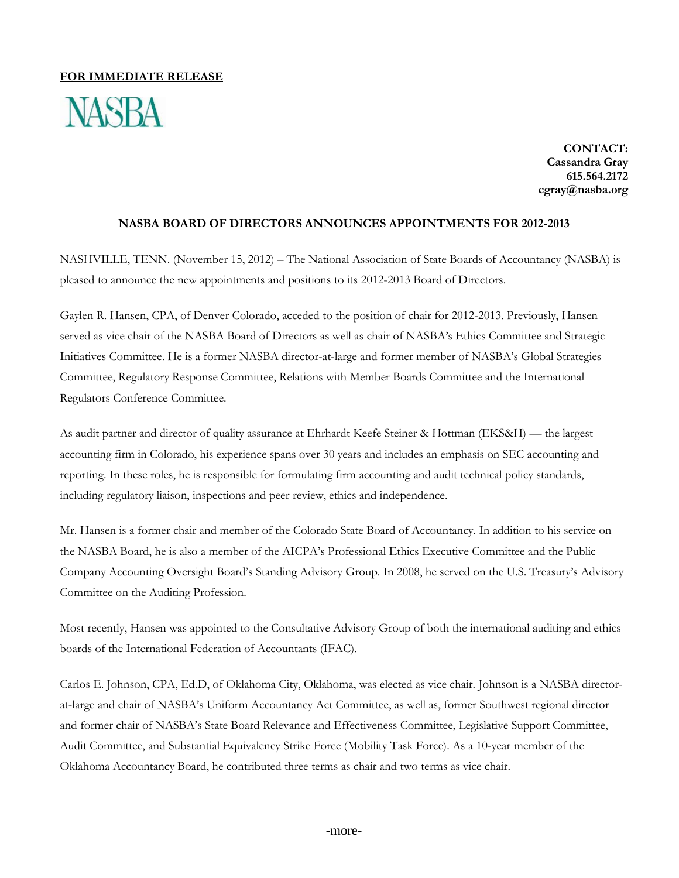## **FOR IMMEDIATE RELEASE**



**CONTACT: Cassandra Gray 615.564.2172 cgray@nasba.org**

## **NASBA BOARD OF DIRECTORS ANNOUNCES APPOINTMENTS FOR 2012-2013**

NASHVILLE, TENN. (November 15, 2012) – The National Association of State Boards of Accountancy (NASBA) is pleased to announce the new appointments and positions to its 2012-2013 Board of Directors.

Gaylen R. Hansen, CPA, of Denver Colorado, acceded to the position of chair for 2012-2013. Previously, Hansen served as vice chair of the NASBA Board of Directors as well as chair of NASBA's Ethics Committee and Strategic Initiatives Committee. He is a former NASBA director-at-large and former member of NASBA's Global Strategies Committee, Regulatory Response Committee, Relations with Member Boards Committee and the International Regulators Conference Committee.

As audit partner and director of quality assurance at Ehrhardt Keefe Steiner & Hottman (EKS&H) — the largest accounting firm in Colorado, his experience spans over 30 years and includes an emphasis on SEC accounting and reporting. In these roles, he is responsible for formulating firm accounting and audit technical policy standards, including regulatory liaison, inspections and peer review, ethics and independence.

Mr. Hansen is a former chair and member of the Colorado State Board of Accountancy. In addition to his service on the NASBA Board, he is also a member of the AICPA's Professional Ethics Executive Committee and the Public Company Accounting Oversight Board's Standing Advisory Group. In 2008, he served on the U.S. Treasury's Advisory Committee on the Auditing Profession.

Most recently, Hansen was appointed to the Consultative Advisory Group of both the international auditing and ethics boards of the International Federation of Accountants (IFAC).

Carlos E. Johnson, CPA, Ed.D, of Oklahoma City, Oklahoma, was elected as vice chair. Johnson is a NASBA directorat-large and chair of NASBA's Uniform Accountancy Act Committee, as well as, former Southwest regional director and former chair of NASBA's State Board Relevance and Effectiveness Committee, Legislative Support Committee, Audit Committee, and Substantial Equivalency Strike Force (Mobility Task Force). As a 10-year member of the Oklahoma Accountancy Board, he contributed three terms as chair and two terms as vice chair.